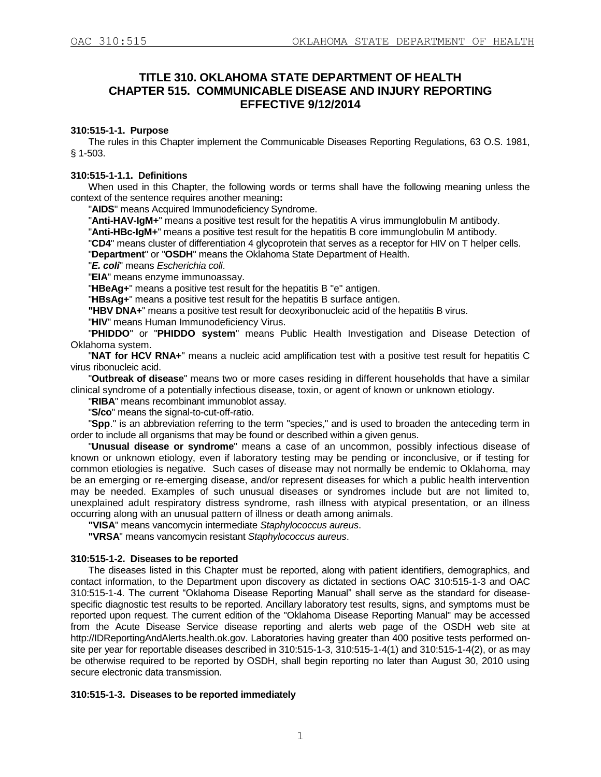# **TITLE 310. OKLAHOMA STATE DEPARTMENT OF HEALTH CHAPTER 515. COMMUNICABLE DISEASE AND INJURY REPORTING EFFECTIVE 9/12/2014**

# **310:515-1-1. Purpose**

The rules in this Chapter implement the Communicable Diseases Reporting Regulations, 63 O.S. 1981, § 1-503.

#### **310:515-1-1.1. Definitions**

When used in this Chapter, the following words or terms shall have the following meaning unless the context of the sentence requires another meaning**:**

"**AIDS**" means Acquired Immunodeficiency Syndrome.

"**Anti-HAV-IgM+**" means a positive test result for the hepatitis A virus immunglobulin M antibody.

"**Anti-HBc-IgM+**" means a positive test result for the hepatitis B core immunglobulin M antibody.

"**CD4**" means cluster of differentiation 4 glycoprotein that serves as a receptor for HIV on T helper cells. "**Department**" or "**OSDH**" means the Oklahoma State Department of Health.

"*E. coli*" means *Escherichia coli*.

"**EIA**" means enzyme immunoassay.

"**HBeAg+**" means a positive test result for the hepatitis B "e" antigen.

"**HBsAg+**" means a positive test result for the hepatitis B surface antigen.

**"HBV DNA+**" means a positive test result for deoxyribonucleic acid of the hepatitis B virus.

"**HIV**" means Human Immunodeficiency Virus.

"**PHIDDO**" or "**PHIDDO system**" means Public Health Investigation and Disease Detection of Oklahoma system.

"**NAT for HCV RNA+**" means a nucleic acid amplification test with a positive test result for hepatitis C virus ribonucleic acid.

"**Outbreak of disease**" means two or more cases residing in different households that have a similar clinical syndrome of a potentially infectious disease, toxin, or agent of known or unknown etiology.

"**RIBA**" means recombinant immunoblot assay.

"**S/co**" means the signal-to-cut-off-ratio.

"**Spp**." is an abbreviation referring to the term "species," and is used to broaden the anteceding term in order to include all organisms that may be found or described within a given genus.

"**Unusual disease or syndrome**" means a case of an uncommon, possibly infectious disease of known or unknown etiology, even if laboratory testing may be pending or inconclusive, or if testing for common etiologies is negative. Such cases of disease may not normally be endemic to Oklahoma, may be an emerging or re-emerging disease, and/or represent diseases for which a public health intervention may be needed. Examples of such unusual diseases or syndromes include but are not limited to, unexplained adult respiratory distress syndrome, rash illness with atypical presentation, or an illness occurring along with an unusual pattern of illness or death among animals.

**"VISA**" means vancomycin intermediate *Staphylococcus aureus*.

**"VRSA**" means vancomycin resistant *Staphylococcus aureus*.

# **310:515-1-2. Diseases to be reported**

The diseases listed in this Chapter must be reported, along with patient identifiers, demographics, and contact information, to the Department upon discovery as dictated in sections OAC 310:515-1-3 and OAC 310:515-1-4. The current "Oklahoma Disease Reporting Manual" shall serve as the standard for diseasespecific diagnostic test results to be reported. Ancillary laboratory test results, signs, and symptoms must be reported upon request. The current edition of the "Oklahoma Disease Reporting Manual" may be accessed from the Acute Disease Service disease reporting and alerts web page of the OSDH web site at http://IDReportingAndAlerts.health.ok.gov. Laboratories having greater than 400 positive tests performed onsite per year for reportable diseases described in 310:515-1-3, 310:515-1-4(1) and 310:515-1-4(2), or as may be otherwise required to be reported by OSDH, shall begin reporting no later than August 30, 2010 using secure electronic data transmission.

# **310:515-1-3. Diseases to be reported immediately**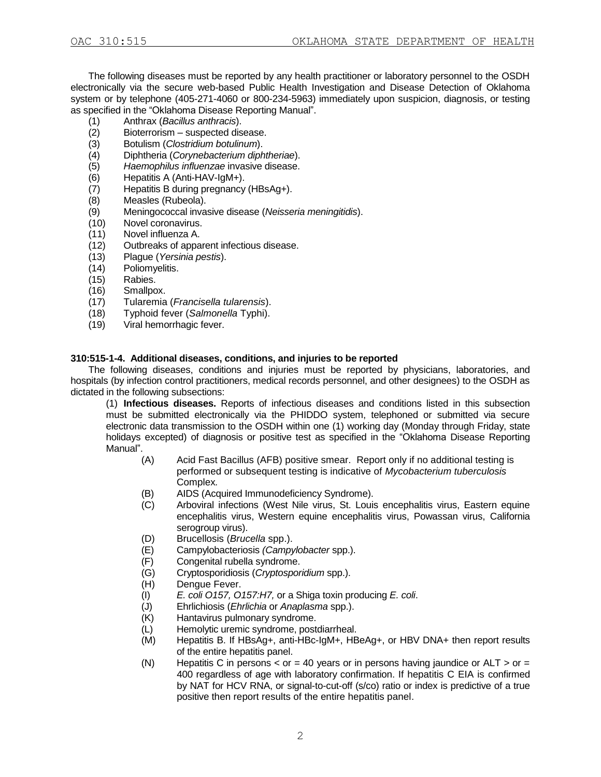The following diseases must be reported by any health practitioner or laboratory personnel to the OSDH electronically via the secure web-based Public Health Investigation and Disease Detection of Oklahoma system or by telephone (405-271-4060 or 800-234-5963) immediately upon suspicion, diagnosis, or testing as specified in the "Oklahoma Disease Reporting Manual".

- (1) Anthrax (*Bacillus anthracis*).
- (2) Bioterrorism suspected disease.<br>(3) Botulism (Clostridium botulinum).
- (3) Botulism (*Clostridium botulinum*).
- (4) Diphtheria (*Corynebacterium diphtheriae*).
- (5) *Haemophilus influenzae* invasive disease.
- Hepatitis A (Anti-HAV-IgM+).
- (7) Hepatitis B during pregnancy (HBsAg+).<br>(8) Measles (Rubeola).
- Measles (Rubeola).
- (9) Meningococcal invasive disease (*Neisseria meningitidis*).
- (10) Novel coronavirus.
- (11) Novel influenza A.
- (12) Outbreaks of apparent infectious disease.
- (13) Plague (*Yersinia pestis*).
- (14) Poliomyelitis.
- (15) Rabies.
- (16) Smallpox.
- (17) Tularemia (*Francisella tularensis*).
- (18) Typhoid fever (*Salmonella* Typhi).
- (19) Viral hemorrhagic fever.

# **310:515-1-4. Additional diseases, conditions, and injuries to be reported**

The following diseases, conditions and injuries must be reported by physicians, laboratories, and hospitals (by infection control practitioners, medical records personnel, and other designees) to the OSDH as dictated in the following subsections:

(1) **Infectious diseases.** Reports of infectious diseases and conditions listed in this subsection must be submitted electronically via the PHIDDO system, telephoned or submitted via secure electronic data transmission to the OSDH within one (1) working day (Monday through Friday, state holidays excepted) of diagnosis or positive test as specified in the "Oklahoma Disease Reporting Manual".

- (A) Acid Fast Bacillus (AFB) positive smear. Report only if no additional testing is performed or subsequent testing is indicative of *Mycobacterium tuberculosis*  Complex*.*
- (B) AIDS (Acquired Immunodeficiency Syndrome).
- (C) Arboviral infections (West Nile virus, St. Louis encephalitis virus, Eastern equine encephalitis virus, Western equine encephalitis virus, Powassan virus, California serogroup virus).
- (D) Brucellosis (*Brucella* spp.).
- (E) Campylobacteriosis *(Campylobacter* spp.).
- (F) Congenital rubella syndrome.
- (G) Cryptosporidiosis (*Cryptosporidium* spp.).
- (H) Dengue Fever.
- (I) *E. coli O157, O157:H7,* or a Shiga toxin producing *E. coli*.
- (J) Ehrlichiosis (*Ehrlichia* or *Anaplasma* spp.).
- (K) Hantavirus pulmonary syndrome.
- (L) Hemolytic uremic syndrome, postdiarrheal.
- (M) Hepatitis B. If HBsAg+, anti-HBc-IgM+, HBeAg+, or HBV DNA+ then report results of the entire hepatitis panel.
- (N) Hepatitis C in persons  $<$  or = 40 years or in persons having jaundice or ALT  $>$  or = 400 regardless of age with laboratory confirmation. If hepatitis C EIA is confirmed by NAT for HCV RNA, or signal-to-cut-off (s/co) ratio or index is predictive of a true positive then report results of the entire hepatitis panel.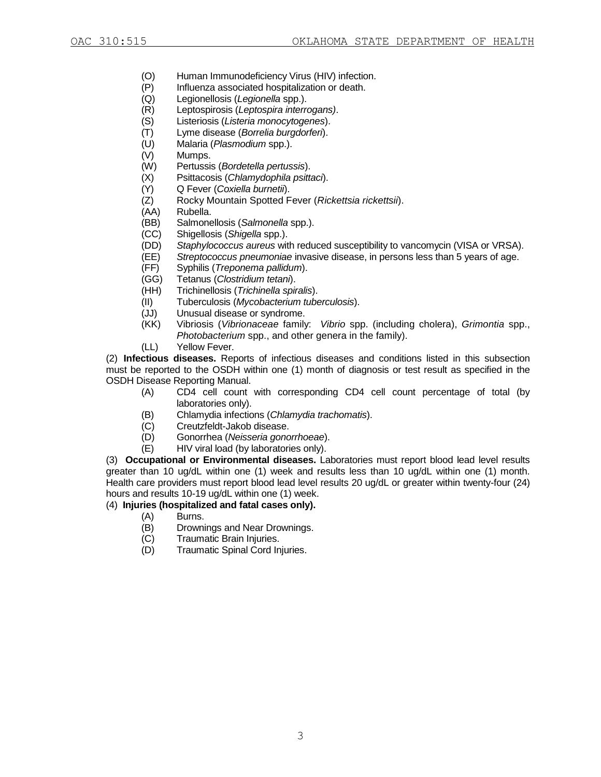- (O) Human Immunodeficiency Virus (HIV) infection.
- (P) Influenza associated hospitalization or death.
- (Q) Legionellosis (*Legionella* spp.).
- (R) Leptospirosis (*Leptospira interrogans)*.
- (S) Listeriosis (*Listeria monocytogenes*).
- (T) Lyme disease (*Borrelia burgdorferi*).
- (U) Malaria (*Plasmodium* spp.).
- (V) Mumps.
- (W) Pertussis (*Bordetella pertussis*).
- (X) Psittacosis (*Chlamydophila psittaci*).
- (Y) Q Fever (*Coxiella burnetii*).
- (Z) Rocky Mountain Spotted Fever (*Rickettsia rickettsii*).
- (AA) Rubella.
- (BB) Salmonellosis (*Salmonella* spp.).
- (CC) Shigellosis (*Shigella* spp.).
- (DD) *Staphylococcus aureus* with reduced susceptibility to vancomycin (VISA or VRSA).
- (EE) *Streptococcus pneumoniae* invasive disease, in persons less than 5 years of age.
- (FF) Syphilis (*Treponema pallidum*).
- (GG) Tetanus (*Clostridium tetani*).
- (HH) Trichinellosis (*Trichinella spiralis*).
- (II) Tuberculosis (*Mycobacterium tuberculosis*).
- (JJ) Unusual disease or syndrome.
- (KK) Vibriosis (*Vibrionaceae* family: *Vibrio* spp. (including cholera), *Grimontia* spp., *Photobacterium* spp., and other genera in the family).
- (LL) Yellow Fever.

(2) **Infectious diseases.** Reports of infectious diseases and conditions listed in this subsection must be reported to the OSDH within one (1) month of diagnosis or test result as specified in the OSDH Disease Reporting Manual.

- (A) CD4 cell count with corresponding CD4 cell count percentage of total (by laboratories only).
- (B) Chlamydia infections (*Chlamydia trachomatis*).
- (C) Creutzfeldt-Jakob disease.
- (D) Gonorrhea (*Neisseria gonorrhoeae*).
- (E) HIV viral load (by laboratories only).

(3) **Occupational or Environmental diseases.** Laboratories must report blood lead level results greater than 10 ug/dL within one (1) week and results less than 10 ug/dL within one (1) month. Health care providers must report blood lead level results 20 ug/dL or greater within twenty-four (24) hours and results 10-19 ug/dL within one (1) week.

# (4) **Injuries (hospitalized and fatal cases only).**

- (A) Burns.
- (B) Drownings and Near Drownings.
- (C) Traumatic Brain Injuries.
- (D) Traumatic Spinal Cord Injuries.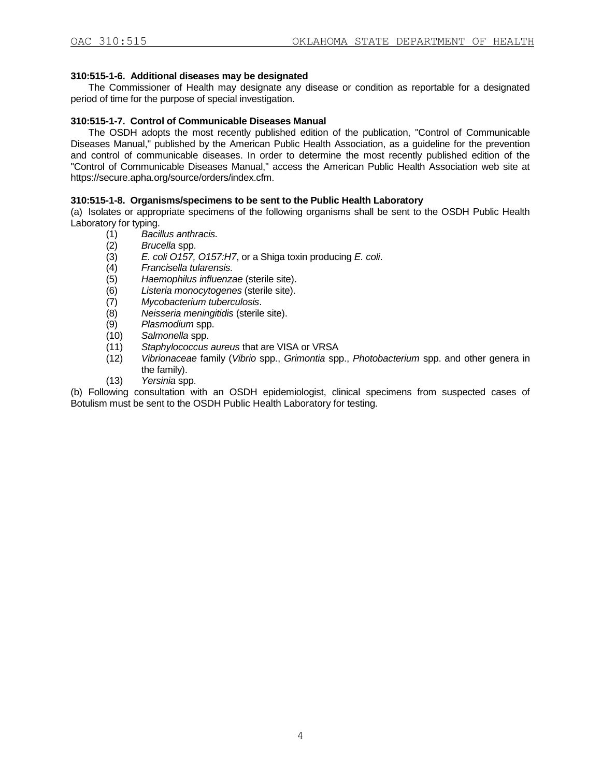# **310:515-1-6. Additional diseases may be designated**

The Commissioner of Health may designate any disease or condition as reportable for a designated period of time for the purpose of special investigation.

#### **310:515-1-7. Control of Communicable Diseases Manual**

The OSDH adopts the most recently published edition of the publication, "Control of Communicable Diseases Manual," published by the American Public Health Association, as a guideline for the prevention and control of communicable diseases. In order to determine the most recently published edition of the "Control of Communicable Diseases Manual," access the American Public Health Association web site at https://secure.apha.org/source/orders/index.cfm.

#### **310:515-1-8. Organisms/specimens to be sent to the Public Health Laboratory**

(a) Isolates or appropriate specimens of the following organisms shall be sent to the OSDH Public Health Laboratory for typing.

- (1) *Bacillus anthracis.*
- (2) *Brucella* spp.
- (3) *E. coli O157, O157:H7*, or a Shiga toxin producing *E. coli*.
- (4) *Francisella tularensis.*
- (5) *Haemophilus influenzae* (sterile site).
- (6) *Listeria monocytogenes* (sterile site).
- (7) *Mycobacterium tuberculosis*.
- (8) *Neisseria meningitidis* (sterile site).
- (9) *Plasmodium* spp.
- (10) *Salmonella* spp.
- (11) *Staphylococcus aureus* that are VISA or VRSA
- (12) *Vibrionaceae* family (*Vibrio* spp., *Grimontia* spp., *Photobacterium* spp. and other genera in the family).
- (13) *Yersinia* spp.

(b) Following consultation with an OSDH epidemiologist, clinical specimens from suspected cases of Botulism must be sent to the OSDH Public Health Laboratory for testing.